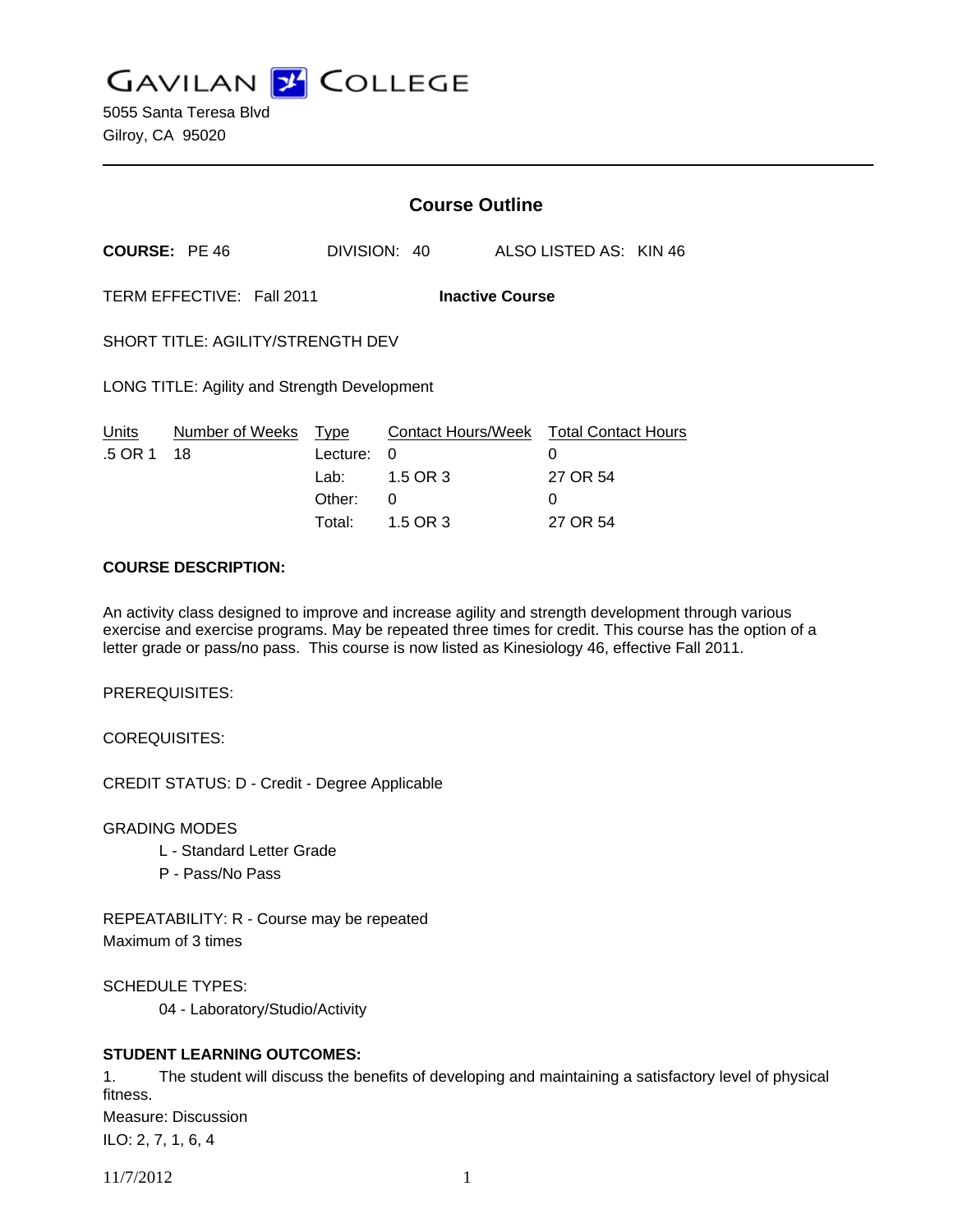**GAVILAN Z COLLEGE** 

|                                                     |                     | <b>Course Outline</b> |                    |  |                            |  |
|-----------------------------------------------------|---------------------|-----------------------|--------------------|--|----------------------------|--|
| <b>COURSE: PE 46</b>                                |                     |                       | DIVISION: 40       |  | ALSO LISTED AS: KIN 46     |  |
| TERM EFFECTIVE: Fall 2011<br><b>Inactive Course</b> |                     |                       |                    |  |                            |  |
| SHORT TITLE: AGILITY/STRENGTH DEV                   |                     |                       |                    |  |                            |  |
| LONG TITLE: Agility and Strength Development        |                     |                       |                    |  |                            |  |
| Units                                               | Number of Weeks     | <b>Type</b>           | Contact Hours/Week |  | <b>Total Contact Hours</b> |  |
| .5 OR 1                                             | 18                  | Lecture:              | 0                  |  | 0                          |  |
|                                                     |                     | Lab:                  | 1.5 OR 3           |  | 27 OR 54                   |  |
|                                                     |                     | Other:                | 0                  |  | 0                          |  |
|                                                     |                     | Total:                | 1.5 OR 3           |  | 27 OR 54                   |  |
|                                                     | COUDER BECCRIPTION. |                       |                    |  |                            |  |

#### **COURSE DESCRIPTION:**

An activity class designed to improve and increase agility and strength development through various exercise and exercise programs. May be repeated three times for credit. This course has the option of a letter grade or pass/no pass. This course is now listed as Kinesiology 46, effective Fall 2011.

PREREQUISITES:

COREQUISITES:

CREDIT STATUS: D - Credit - Degree Applicable

GRADING MODES

- L Standard Letter Grade
- P Pass/No Pass

REPEATABILITY: R - Course may be repeated Maximum of 3 times

SCHEDULE TYPES:

04 - Laboratory/Studio/Activity

### **STUDENT LEARNING OUTCOMES:**

1. The student will discuss the benefits of developing and maintaining a satisfactory level of physical fitness. Measure: Discussion ILO: 2, 7, 1, 6, 4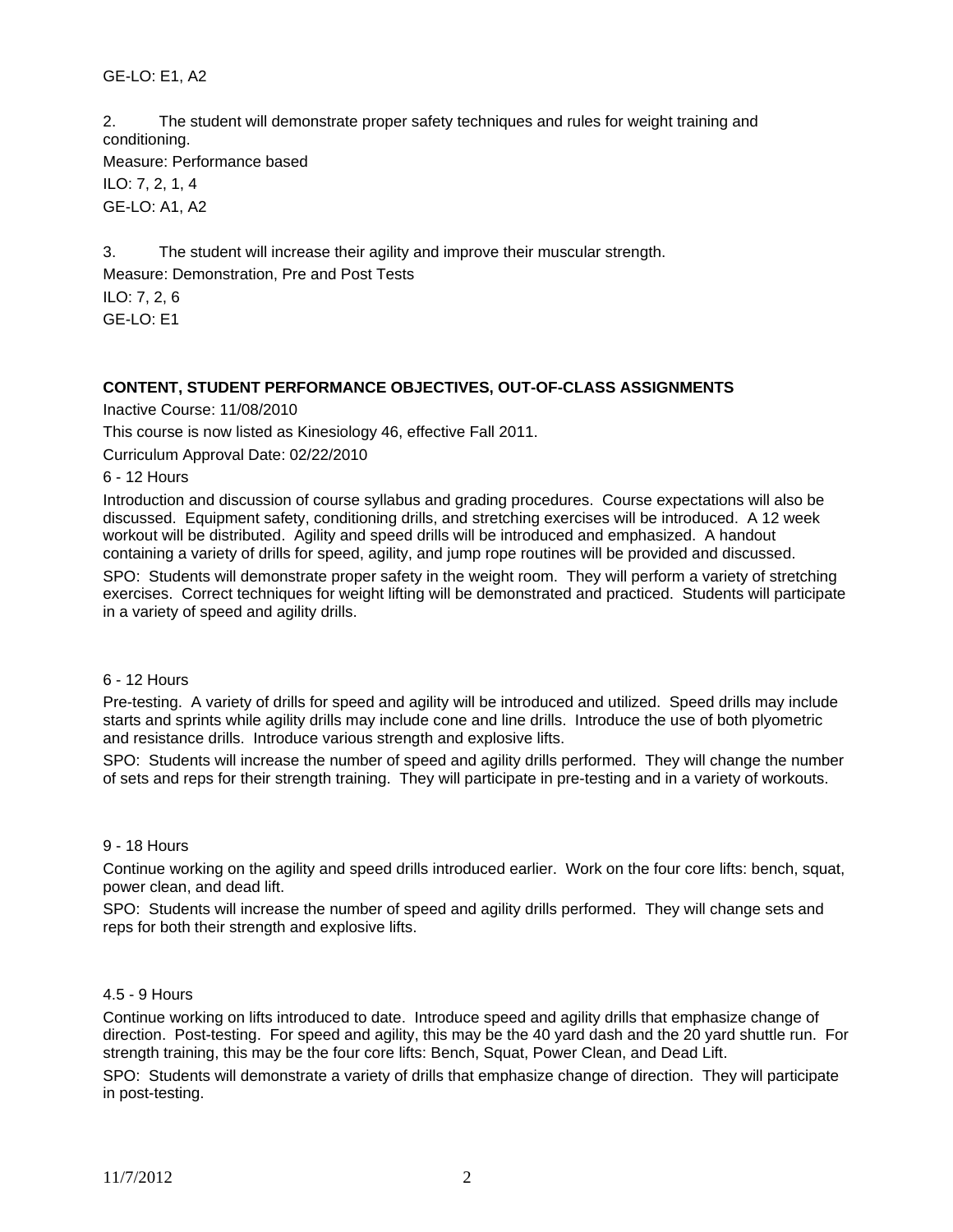## GE-LO: E1, A2

2. The student will demonstrate proper safety techniques and rules for weight training and conditioning.

Measure: Performance based ILO: 7, 2, 1, 4 GE-LO: A1, A2

3. The student will increase their agility and improve their muscular strength. Measure: Demonstration, Pre and Post Tests ILO: 7, 2, 6 GE-LO: E1

### **CONTENT, STUDENT PERFORMANCE OBJECTIVES, OUT-OF-CLASS ASSIGNMENTS**

Inactive Course: 11/08/2010

This course is now listed as Kinesiology 46, effective Fall 2011.

Curriculum Approval Date: 02/22/2010

6 - 12 Hours

Introduction and discussion of course syllabus and grading procedures. Course expectations will also be discussed. Equipment safety, conditioning drills, and stretching exercises will be introduced. A 12 week workout will be distributed. Agility and speed drills will be introduced and emphasized. A handout containing a variety of drills for speed, agility, and jump rope routines will be provided and discussed.

SPO: Students will demonstrate proper safety in the weight room. They will perform a variety of stretching exercises. Correct techniques for weight lifting will be demonstrated and practiced. Students will participate in a variety of speed and agility drills.

#### 6 - 12 Hours

Pre-testing. A variety of drills for speed and agility will be introduced and utilized. Speed drills may include starts and sprints while agility drills may include cone and line drills. Introduce the use of both plyometric and resistance drills. Introduce various strength and explosive lifts.

SPO: Students will increase the number of speed and agility drills performed. They will change the number of sets and reps for their strength training. They will participate in pre-testing and in a variety of workouts.

#### 9 - 18 Hours

Continue working on the agility and speed drills introduced earlier. Work on the four core lifts: bench, squat, power clean, and dead lift.

SPO: Students will increase the number of speed and agility drills performed. They will change sets and reps for both their strength and explosive lifts.

#### 4.5 - 9 Hours

Continue working on lifts introduced to date. Introduce speed and agility drills that emphasize change of direction. Post-testing. For speed and agility, this may be the 40 yard dash and the 20 yard shuttle run. For strength training, this may be the four core lifts: Bench, Squat, Power Clean, and Dead Lift.

SPO: Students will demonstrate a variety of drills that emphasize change of direction. They will participate in post-testing.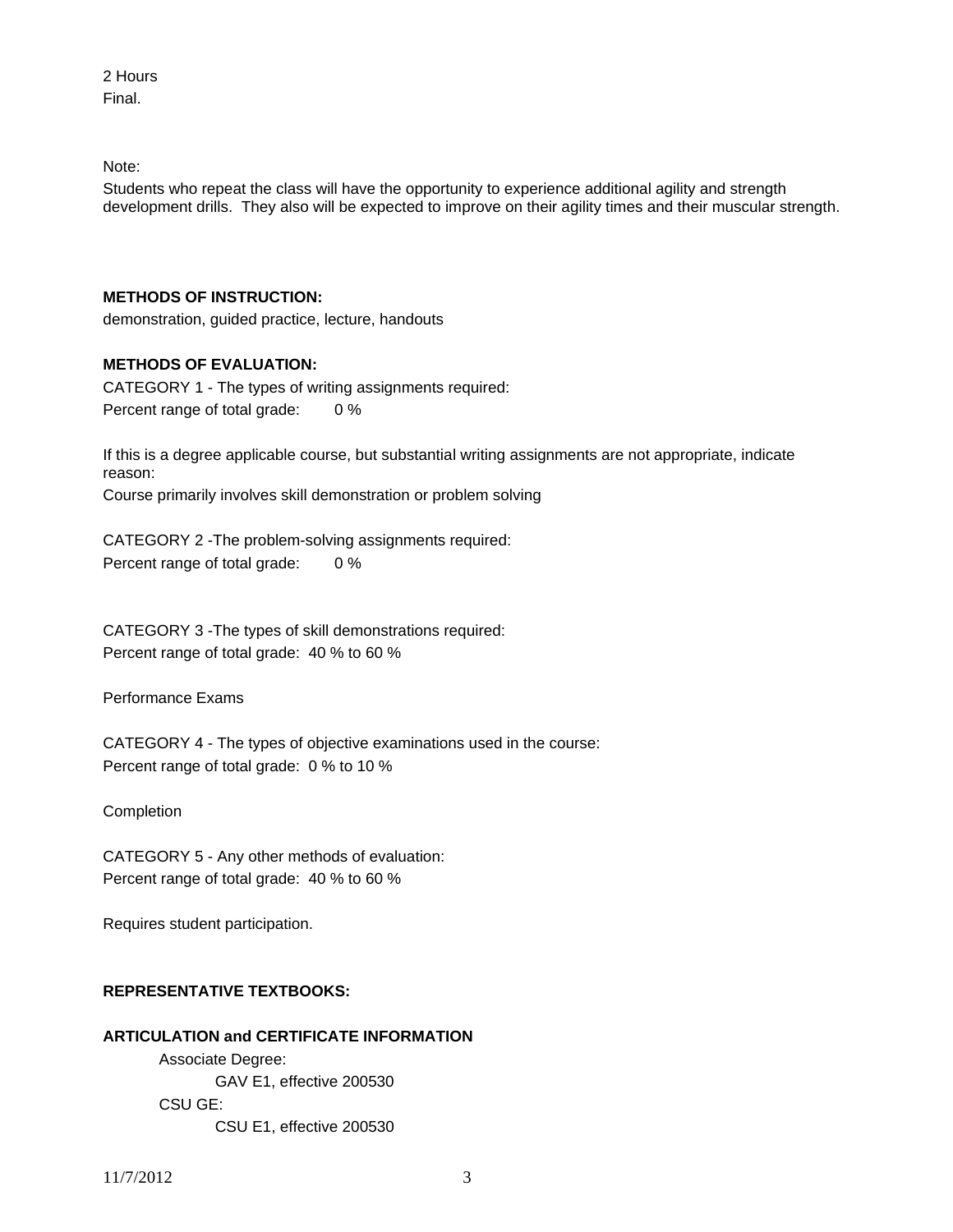2 Hours Final.

Note:

Students who repeat the class will have the opportunity to experience additional agility and strength development drills. They also will be expected to improve on their agility times and their muscular strength.

## **METHODS OF INSTRUCTION:**

demonstration, guided practice, lecture, handouts

## **METHODS OF EVALUATION:**

CATEGORY 1 - The types of writing assignments required: Percent range of total grade: 0 %

If this is a degree applicable course, but substantial writing assignments are not appropriate, indicate reason:

Course primarily involves skill demonstration or problem solving

CATEGORY 2 -The problem-solving assignments required: Percent range of total grade: 0 %

CATEGORY 3 -The types of skill demonstrations required: Percent range of total grade: 40 % to 60 %

Performance Exams

CATEGORY 4 - The types of objective examinations used in the course: Percent range of total grade: 0 % to 10 %

Completion

CATEGORY 5 - Any other methods of evaluation: Percent range of total grade: 40 % to 60 %

Requires student participation.

# **REPRESENTATIVE TEXTBOOKS:**

## **ARTICULATION and CERTIFICATE INFORMATION**

 Associate Degree: GAV E1, effective 200530 CSU GE: CSU E1, effective 200530

11/7/2012 3